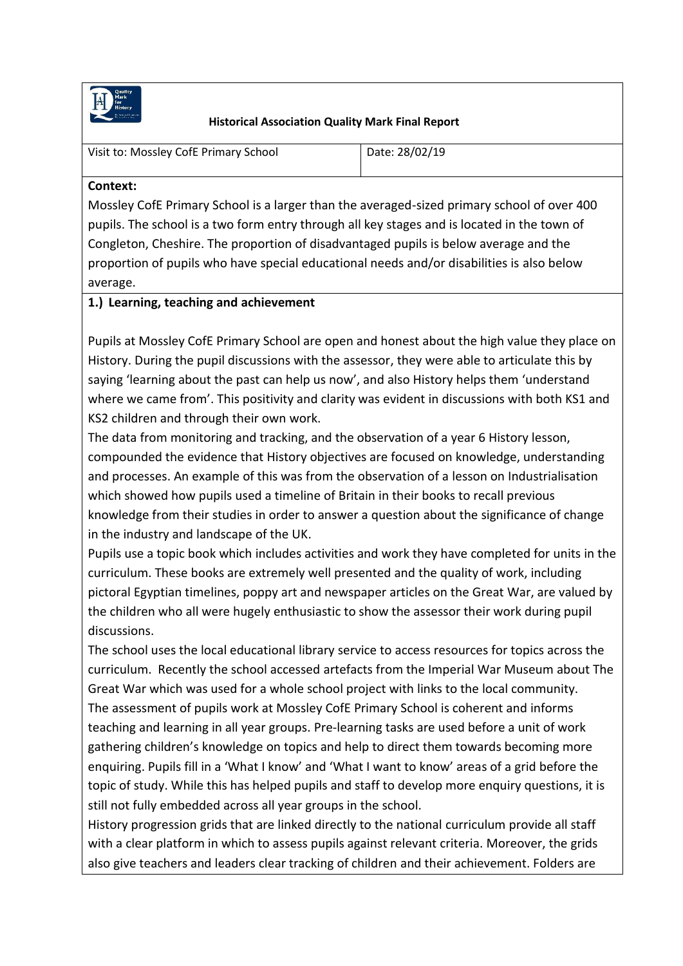

#### **Historical Association Quality Mark Final Report**

| Visit to: Mossley CofE Primary School | Date: 28/02/19 |
|---------------------------------------|----------------|
|                                       |                |

#### **Context:**

Mossley CofE Primary School is a larger than the averaged-sized primary school of over 400 pupils. The school is a two form entry through all key stages and is located in the town of Congleton, Cheshire. The proportion of disadvantaged pupils is below average and the proportion of pupils who have special educational needs and/or disabilities is also below average.

### **1.) Learning, teaching and achievement**

Pupils at Mossley CofE Primary School are open and honest about the high value they place on History. During the pupil discussions with the assessor, they were able to articulate this by saying 'learning about the past can help us now', and also History helps them 'understand where we came from'. This positivity and clarity was evident in discussions with both KS1 and KS2 children and through their own work.

The data from monitoring and tracking, and the observation of a year 6 History lesson, compounded the evidence that History objectives are focused on knowledge, understanding and processes. An example of this was from the observation of a lesson on Industrialisation which showed how pupils used a timeline of Britain in their books to recall previous knowledge from their studies in order to answer a question about the significance of change in the industry and landscape of the UK.

Pupils use a topic book which includes activities and work they have completed for units in the curriculum. These books are extremely well presented and the quality of work, including pictoral Egyptian timelines, poppy art and newspaper articles on the Great War, are valued by the children who all were hugely enthusiastic to show the assessor their work during pupil discussions.

The school uses the local educational library service to access resources for topics across the curriculum. Recently the school accessed artefacts from the Imperial War Museum about The Great War which was used for a whole school project with links to the local community. The assessment of pupils work at Mossley CofE Primary School is coherent and informs teaching and learning in all year groups. Pre-learning tasks are used before a unit of work gathering children's knowledge on topics and help to direct them towards becoming more enquiring. Pupils fill in a 'What I know' and 'What I want to know' areas of a grid before the topic of study. While this has helped pupils and staff to develop more enquiry questions, it is still not fully embedded across all year groups in the school.

History progression grids that are linked directly to the national curriculum provide all staff with a clear platform in which to assess pupils against relevant criteria. Moreover, the grids also give teachers and leaders clear tracking of children and their achievement. Folders are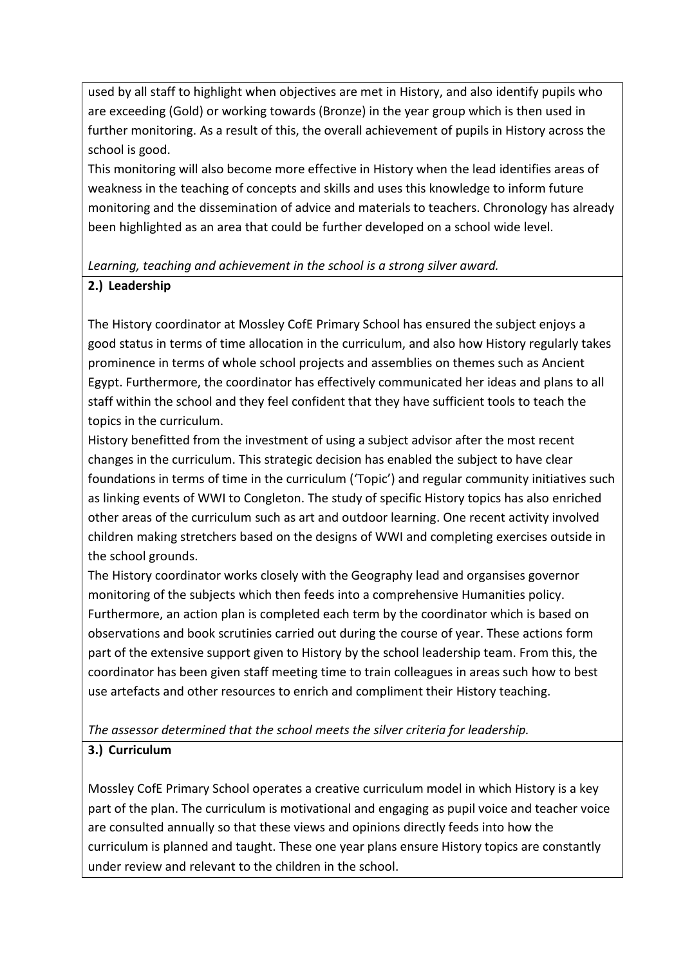used by all staff to highlight when objectives are met in History, and also identify pupils who are exceeding (Gold) or working towards (Bronze) in the year group which is then used in further monitoring. As a result of this, the overall achievement of pupils in History across the school is good.

This monitoring will also become more effective in History when the lead identifies areas of weakness in the teaching of concepts and skills and uses this knowledge to inform future monitoring and the dissemination of advice and materials to teachers. Chronology has already been highlighted as an area that could be further developed on a school wide level.

### *Learning, teaching and achievement in the school is a strong silver award.*

## **2.) Leadership**

The History coordinator at Mossley CofE Primary School has ensured the subject enjoys a good status in terms of time allocation in the curriculum, and also how History regularly takes prominence in terms of whole school projects and assemblies on themes such as Ancient Egypt. Furthermore, the coordinator has effectively communicated her ideas and plans to all staff within the school and they feel confident that they have sufficient tools to teach the topics in the curriculum.

History benefitted from the investment of using a subject advisor after the most recent changes in the curriculum. This strategic decision has enabled the subject to have clear foundations in terms of time in the curriculum ('Topic') and regular community initiatives such as linking events of WWI to Congleton. The study of specific History topics has also enriched other areas of the curriculum such as art and outdoor learning. One recent activity involved children making stretchers based on the designs of WWI and completing exercises outside in the school grounds.

The History coordinator works closely with the Geography lead and organsises governor monitoring of the subjects which then feeds into a comprehensive Humanities policy. Furthermore, an action plan is completed each term by the coordinator which is based on observations and book scrutinies carried out during the course of year. These actions form part of the extensive support given to History by the school leadership team. From this, the coordinator has been given staff meeting time to train colleagues in areas such how to best use artefacts and other resources to enrich and compliment their History teaching.

*The assessor determined that the school meets the silver criteria for leadership.* 

## **3.) Curriculum**

Mossley CofE Primary School operates a creative curriculum model in which History is a key part of the plan. The curriculum is motivational and engaging as pupil voice and teacher voice are consulted annually so that these views and opinions directly feeds into how the curriculum is planned and taught. These one year plans ensure History topics are constantly under review and relevant to the children in the school.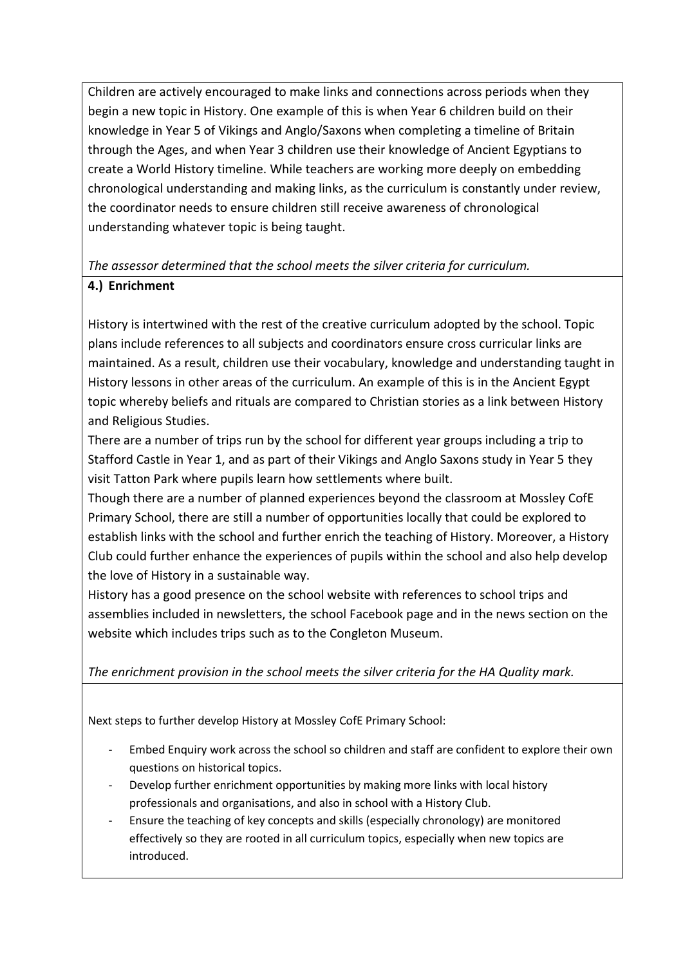Children are actively encouraged to make links and connections across periods when they begin a new topic in History. One example of this is when Year 6 children build on their knowledge in Year 5 of Vikings and Anglo/Saxons when completing a timeline of Britain through the Ages, and when Year 3 children use their knowledge of Ancient Egyptians to create a World History timeline. While teachers are working more deeply on embedding chronological understanding and making links, as the curriculum is constantly under review, the coordinator needs to ensure children still receive awareness of chronological understanding whatever topic is being taught.

# *The assessor determined that the school meets the silver criteria for curriculum.*

## **4.) Enrichment**

History is intertwined with the rest of the creative curriculum adopted by the school. Topic plans include references to all subjects and coordinators ensure cross curricular links are maintained. As a result, children use their vocabulary, knowledge and understanding taught in History lessons in other areas of the curriculum. An example of this is in the Ancient Egypt topic whereby beliefs and rituals are compared to Christian stories as a link between History and Religious Studies.

There are a number of trips run by the school for different year groups including a trip to Stafford Castle in Year 1, and as part of their Vikings and Anglo Saxons study in Year 5 they visit Tatton Park where pupils learn how settlements where built.

Though there are a number of planned experiences beyond the classroom at Mossley CofE Primary School, there are still a number of opportunities locally that could be explored to establish links with the school and further enrich the teaching of History. Moreover, a History Club could further enhance the experiences of pupils within the school and also help develop the love of History in a sustainable way.

History has a good presence on the school website with references to school trips and assemblies included in newsletters, the school Facebook page and in the news section on the website which includes trips such as to the Congleton Museum.

*The enrichment provision in the school meets the silver criteria for the HA Quality mark.* 

Next steps to further develop History at Mossley CofE Primary School:

- Embed Enquiry work across the school so children and staff are confident to explore their own questions on historical topics.
- Develop further enrichment opportunities by making more links with local history professionals and organisations, and also in school with a History Club.
- Ensure the teaching of key concepts and skills (especially chronology) are monitored effectively so they are rooted in all curriculum topics, especially when new topics are introduced.